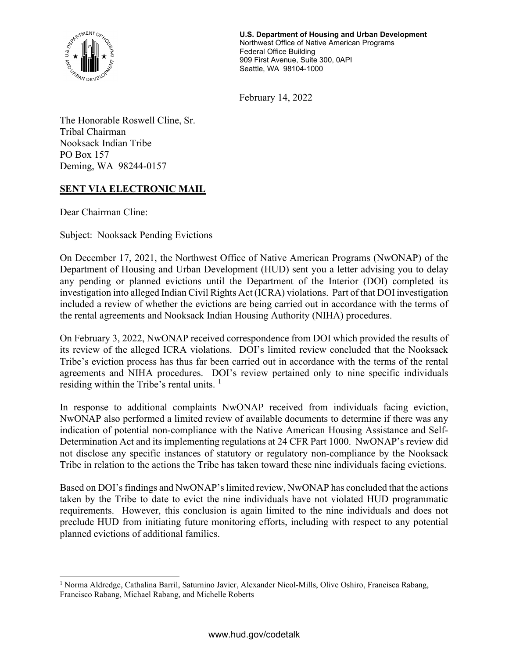

U.S. Department of Housing and Urban Development Northwest Office of Native American Programs Federal Office Building 909 First Avenue, Suite 300, 0API Seattle, WA 98104-1000

February 14, 2022

The Honorable Roswell Cline, Sr. Tribal Chairman Nooksack Indian Tribe PO Box 157 Deming, WA 98244-0157

## SENT VIA ELECTRONIC MAIL

Dear Chairman Cline:

Subject: Nooksack Pending Evictions

On December 17, 2021, the Northwest Office of Native American Programs (NwONAP) of the Department of Housing and Urban Development (HUD) sent you a letter advising you to delay any pending or planned evictions until the Department of the Interior (DOI) completed its investigation into alleged Indian Civil Rights Act (ICRA) violations. Part of that DOI investigation included a review of whether the evictions are being carried out in accordance with the terms of the rental agreements and Nooksack Indian Housing Authority (NIHA) procedures.

On February 3, 2022, NwONAP received correspondence from DOI which provided the results of its review of the alleged ICRA violations. DOI's limited review concluded that the Nooksack Tribe's eviction process has thus far been carried out in accordance with the terms of the rental agreements and NIHA procedures. DOI's review pertained only to nine specific individuals residing within the Tribe's rental units.  $\frac{1}{1}$ 

In response to additional complaints NwONAP received from individuals facing eviction, NwONAP also performed a limited review of available documents to determine if there was any indication of potential non-compliance with the Native American Housing Assistance and Self-Determination Act and its implementing regulations at 24 CFR Part 1000. NwONAP's review did not disclose any specific instances of statutory or regulatory non-compliance by the Nooksack Tribe in relation to the actions the Tribe has taken toward these nine individuals facing evictions.

Based on DOI's findings and NwONAP's limited review, NwONAP has concluded that the actions taken by the Tribe to date to evict the nine individuals have not violated HUD programmatic requirements. However, this conclusion is again limited to the nine individuals and does not preclude HUD from initiating future monitoring efforts, including with respect to any potential planned evictions of additional families.

<sup>&</sup>lt;sup>1</sup> Norma Aldredge, Cathalina Barril, Saturnino Javier, Alexander Nicol-Mills, Olive Oshiro, Francisca Rabang, Francisco Rabang, Michael Rabang, and Michelle Roberts